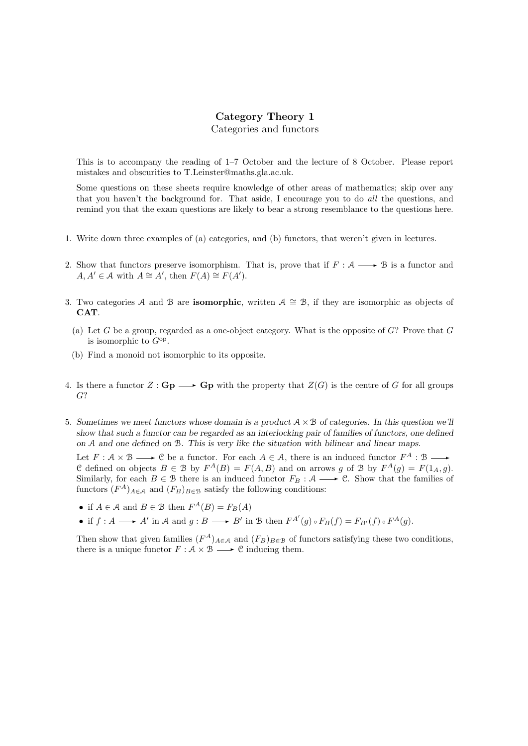## Category Theory 1 Categories and functors

This is to accompany the reading of 1–7 October and the lecture of 8 October. Please report mistakes and obscurities to T.Leinster@maths.gla.ac.uk.

Some questions on these sheets require knowledge of other areas of mathematics; skip over any that you haven't the background for. That aside, I encourage you to do all the questions, and remind you that the exam questions are likely to bear a strong resemblance to the questions here.

- 1. Write down three examples of (a) categories, and (b) functors, that weren't given in lectures.
- 2. Show that functors preserve isomorphism. That is, prove that if  $F : A \longrightarrow B$  is a functor and  $A, A' \in \mathcal{A}$  with  $A \cong A'$ , then  $F(A) \cong F(A')$ .
- 3. Two categories A and B are **isomorphic**, written  $A \cong B$ , if they are isomorphic as objects of CAT.
	- (a) Let G be a group, regarded as a one-object category. What is the opposite of  $G$ ? Prove that  $G$ is isomorphic to  $G^{\text{op}}$ .
	- (b) Find a monoid not isomorphic to its opposite.
- 4. Is there a functor  $Z : \mathbf{Gp} \longrightarrow \mathbf{Gp}$  with the property that  $Z(G)$  is the centre of G for all groups G?
- 5. Sometimes we meet functors whose domain is a product  $A \times B$  of categories. In this question we'll show that such a functor can be regarded as an interlocking pair of families of functors, one defined on A and one defined on B. This is very like the situation with bilinear and linear maps.

Let  $F: \mathcal{A} \times \mathcal{B} \longrightarrow \mathcal{C}$  be a functor. For each  $A \in \mathcal{A}$ , there is an induced functor  $F^A: \mathcal{B} \longrightarrow$ C defined on objects  $B \in \mathcal{B}$  by  $F^A(B) = F(A, B)$  and on arrows g of  $\mathcal{B}$  by  $F^A(g) = F(1_A, g)$ . Similarly, for each  $B \in \mathcal{B}$  there is an induced functor  $F_B : \mathcal{A} \longrightarrow \mathcal{C}$ . Show that the families of functors  $(F^A)_{A \in \mathcal{A}}$  and  $(F_B)_{B \in \mathcal{B}}$  satisfy the following conditions:

- if  $A \in \mathcal{A}$  and  $B \in \mathcal{B}$  then  $F^A(B) = F_B(A)$
- if  $f : A \longrightarrow A'$  in A and  $g : B \longrightarrow B'$  in B then  $F^{A'}(g) \circ F_B(f) = F_{B'}(f) \circ F^A(g)$ .

Then show that given families  $(F^A)_{A \in \mathcal{A}}$  and  $(F_B)_{B \in \mathcal{B}}$  of functors satisfying these two conditions, there is a unique functor  $F : \mathcal{A} \times \mathcal{B} \longrightarrow \mathcal{C}$  inducing them.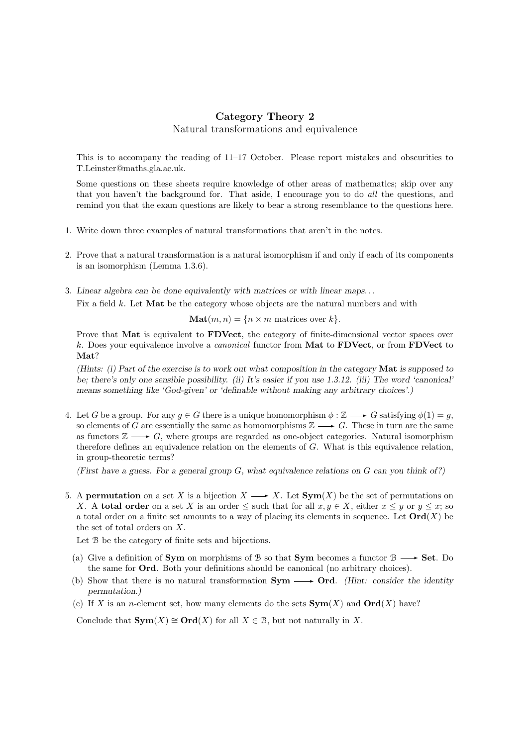# Category Theory 2 Natural transformations and equivalence

This is to accompany the reading of 11–17 October. Please report mistakes and obscurities to T.Leinster@maths.gla.ac.uk.

Some questions on these sheets require knowledge of other areas of mathematics; skip over any that you haven't the background for. That aside, I encourage you to do all the questions, and remind you that the exam questions are likely to bear a strong resemblance to the questions here.

- 1. Write down three examples of natural transformations that aren't in the notes.
- 2. Prove that a natural transformation is a natural isomorphism if and only if each of its components is an isomorphism (Lemma 1.3.6).
- 3. Linear algebra can be done equivalently with matrices or with linear maps. . .

Fix a field k. Let **Mat** be the category whose objects are the natural numbers and with

 $\textbf{Mat}(m, n) = \{n \times m \text{ matrices over } k\}.$ 

Prove that Mat is equivalent to FDVect, the category of finite-dimensional vector spaces over k. Does your equivalence involve a *canonical* functor from **Mat** to **FDVect**, or from **FDVect** to Mat?

(Hints: (i) Part of the exercise is to work out what composition in the category Mat is supposed to be; there's only one sensible possibility. (ii) It's easier if you use 1.3.12. (iii) The word 'canonical' means something like 'God-given' or 'definable without making any arbitrary choices'.)

4. Let G be a group. For any  $q \in G$  there is a unique homomorphism  $\phi : \mathbb{Z} \longrightarrow G$  satisfying  $\phi(1) = q$ , so elements of G are essentially the same as homomorphisms  $\mathbb{Z} \longrightarrow G$ . These in turn are the same as functors  $\mathbb{Z} \longrightarrow G$ , where groups are regarded as one-object categories. Natural isomorphism therefore defines an equivalence relation on the elements of G. What is this equivalence relation, in group-theoretic terms?

(First have a guess. For a general group  $G$ , what equivalence relations on  $G$  can you think of?)

5. A permutation on a set X is a bijection  $X \longrightarrow X$ . Let  $Sym(X)$  be the set of permutations on X. A total order on a set X is an order  $\leq$  such that for all  $x, y \in X$ , either  $x \leq y$  or  $y \leq x$ ; so a total order on a finite set amounts to a way of placing its elements in sequence. Let  $\text{Ord}(X)$  be the set of total orders on X.

Let  $\beta$  be the category of finite sets and bijections.

- (a) Give a definition of Sym on morphisms of B so that Sym becomes a functor  $\beta \longrightarrow$  Set. Do the same for Ord. Both your definitions should be canonical (no arbitrary choices).
- (b) Show that there is no natural transformation  $Sym \longrightarrow Ord$ . (Hint: consider the identity permutation.)
- (c) If X is an *n*-element set, how many elements do the sets  $Sym(X)$  and  $Ord(X)$  have?

Conclude that  $\mathbf{Sym}(X) \cong \mathbf{Ord}(X)$  for all  $X \in \mathcal{B}$ , but not naturally in X.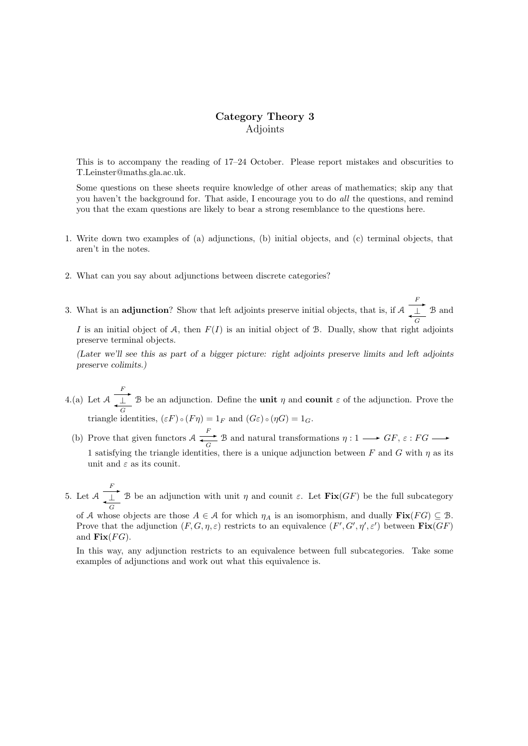# Category Theory 3 Adjoints

This is to accompany the reading of 17–24 October. Please report mistakes and obscurities to T.Leinster@maths.gla.ac.uk.

Some questions on these sheets require knowledge of other areas of mathematics; skip any that you haven't the background for. That aside, I encourage you to do all the questions, and remind you that the exam questions are likely to bear a strong resemblance to the questions here.

- 1. Write down two examples of (a) adjunctions, (b) initial objects, and (c) terminal objects, that aren't in the notes.
- 2. What can you say about adjunctions between discrete categories?
- 3. What is an **adjunction**? Show that left adjoints preserve initial objects, that is, if A  $F_{\perp}$ ✛⊥ G B and

I is an initial object of A, then  $F(I)$  is an initial object of B. Dually, show that right adjoints preserve terminal objects.

(Later we'll see this as part of a bigger picture: right adjoints preserve limits and left adjoints preserve colimits.)

4.(a) Let A  $F_{\perp}$  $\perp$  B be an adjunction. Define the **unit**  $\eta$  and **counit**  $\varepsilon$  of the adjunction. Prove the triangle identities,  $(\varepsilon F) \circ (F \eta) = 1_F$  and  $(G \varepsilon) \circ (\eta G) = 1_G$ .

- (b) Prove that given functors  $A \xrightarrow{F}$  $\overrightarrow{G}$  B and natural transformations  $\eta: 1 \longrightarrow GF, \varepsilon: FG \longrightarrow$ 1 satisfying the triangle identities, there is a unique adjunction between F and G with  $\eta$  as its unit and  $\varepsilon$  as its counit.
- 5. Let A  $F_{\perp}$ ✛⊥ G B be an adjunction with unit  $\eta$  and counit  $\varepsilon$ . Let  $\text{Fix}(GF)$  be the full subcategory

of A whose objects are those  $A \in \mathcal{A}$  for which  $\eta_A$  is an isomorphism, and dually  $\text{Fix}(FG) \subseteq \mathcal{B}$ . Prove that the adjunction  $(F, G, \eta, \varepsilon)$  restricts to an equivalence  $(F', G', \eta', \varepsilon')$  between  $\text{Fix}(GF)$ and  $\text{Fix}(FG)$ .

In this way, any adjunction restricts to an equivalence between full subcategories. Take some examples of adjunctions and work out what this equivalence is.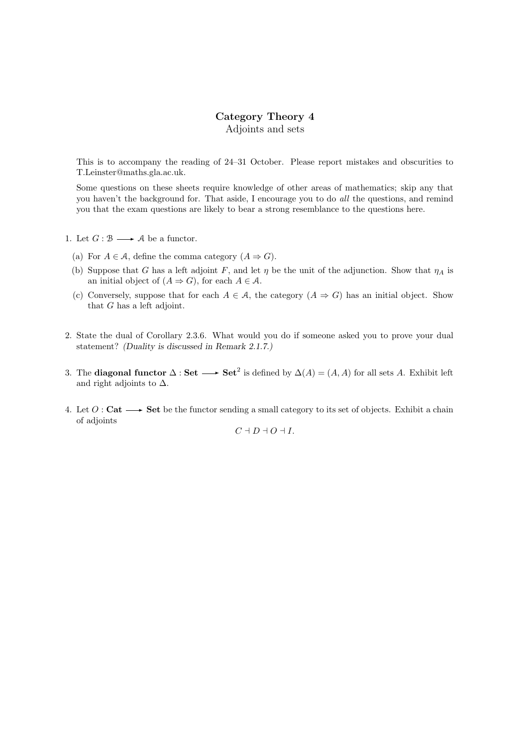## Category Theory 4 Adjoints and sets

This is to accompany the reading of 24–31 October. Please report mistakes and obscurities to T.Leinster@maths.gla.ac.uk.

Some questions on these sheets require knowledge of other areas of mathematics; skip any that you haven't the background for. That aside, I encourage you to do all the questions, and remind you that the exam questions are likely to bear a strong resemblance to the questions here.

- 1. Let  $G : \mathcal{B} \longrightarrow \mathcal{A}$  be a functor.
	- (a) For  $A \in \mathcal{A}$ , define the comma category  $(A \Rightarrow G)$ .
	- (b) Suppose that G has a left adjoint F, and let  $\eta$  be the unit of the adjunction. Show that  $\eta_A$  is an initial object of  $(A \Rightarrow G)$ , for each  $A \in \mathcal{A}$ .
	- (c) Conversely, suppose that for each  $A \in \mathcal{A}$ , the category  $(A \Rightarrow G)$  has an initial object. Show that G has a left adjoint.
- 2. State the dual of Corollary 2.3.6. What would you do if someone asked you to prove your dual statement? (Duality is discussed in Remark 2.1.7.)
- 3. The **diagonal functor**  $\Delta$ : **Set** → **Set**<sup>2</sup> is defined by  $\Delta(A) = (A, A)$  for all sets A. Exhibit left and right adjoints to  $\Delta$ .
- 4. Let  $O:$  Cat  $\longrightarrow$  Set be the functor sending a small category to its set of objects. Exhibit a chain of adjoints

 $C + D + O + I$ .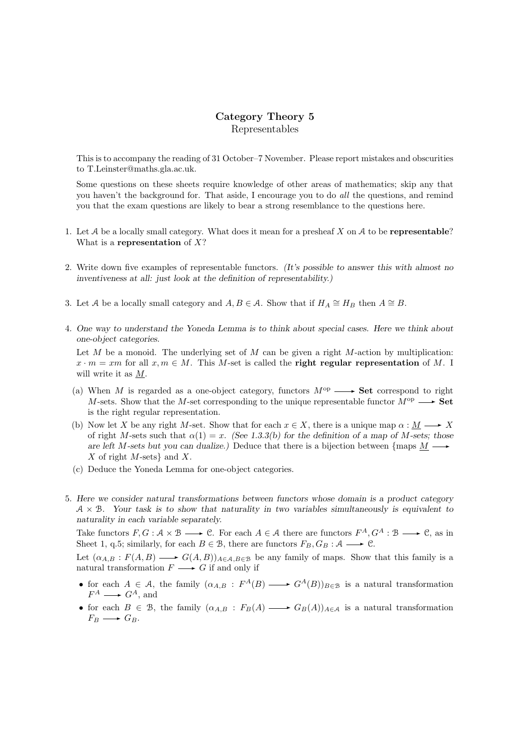## Category Theory 5 Representables

This is to accompany the reading of 31 October–7 November. Please report mistakes and obscurities to T.Leinster@maths.gla.ac.uk.

Some questions on these sheets require knowledge of other areas of mathematics; skip any that you haven't the background for. That aside, I encourage you to do *all* the questions, and remind you that the exam questions are likely to bear a strong resemblance to the questions here.

- 1. Let  $A$  be a locally small category. What does it mean for a presheaf  $X$  on  $A$  to be **representable**? What is a representation of  $X$ ?
- 2. Write down five examples of representable functors. (It's possible to answer this with almost no inventiveness at all: just look at the definition of representability.)
- 3. Let A be a locally small category and  $A, B \in \mathcal{A}$ . Show that if  $H_A \cong H_B$  then  $A \cong B$ .
- 4. One way to understand the Yoneda Lemma is to think about special cases. Here we think about one-object categories.

Let  $M$  be a monoid. The underlying set of  $M$  can be given a right  $M$ -action by multiplication:  $x \cdot m = xm$  for all  $x, m \in M$ . This M-set is called the **right regular representation** of M. I will write it as M.

- (a) When M is regarded as a one-object category, functors  $M^{\rm op} \longrightarrow$  Set correspond to right M-sets. Show that the M-set corresponding to the unique representable functor  $M^{\rm op} \longrightarrow$  Set is the right regular representation.
- (b) Now let X be any right M-set. Show that for each  $x \in X$ , there is a unique map  $\alpha : M \longrightarrow X$ of right M-sets such that  $\alpha(1) = x$ . (See 1.3.3(b) for the definition of a map of M-sets; those are left M-sets but you can dualize.) Deduce that there is a bijection between {maps  $M \longrightarrow$ X of right  $M$ -sets} and  $X$ .
- (c) Deduce the Yoneda Lemma for one-object categories.
- 5. Here we consider natural transformations between functors whose domain is a product category  $A \times B$ . Your task is to show that naturality in two variables simultaneously is equivalent to naturality in each variable separately.

Take functors  $F, G: \mathcal{A} \times \mathcal{B} \longrightarrow \mathcal{C}$ . For each  $A \in \mathcal{A}$  there are functors  $F^A, G^A: \mathcal{B} \longrightarrow \mathcal{C}$ , as in Sheet 1, q.5; similarly, for each  $B \in \mathcal{B}$ , there are functors  $F_B, G_B : \mathcal{A} \longrightarrow \mathcal{C}$ .

Let  $(\alpha_{A,B} : F(A,B) \longrightarrow G(A,B))_{A \in A, B \in \mathcal{B}}$  be any family of maps. Show that this family is a natural transformation  $F \longrightarrow G$  if and only if

- for each  $A \in \mathcal{A}$ , the family  $(\alpha_{A,B} : F^A(B) \longrightarrow G^A(B))_{B \in \mathcal{B}}$  is a natural transformation  $F^A \longrightarrow G^A$ , and
- for each  $B \in \mathcal{B}$ , the family  $(\alpha_{A,B} : F_B(A) \longrightarrow G_B(A))_{A \in \mathcal{A}}$  is a natural transformation  $F_B \longrightarrow G_B.$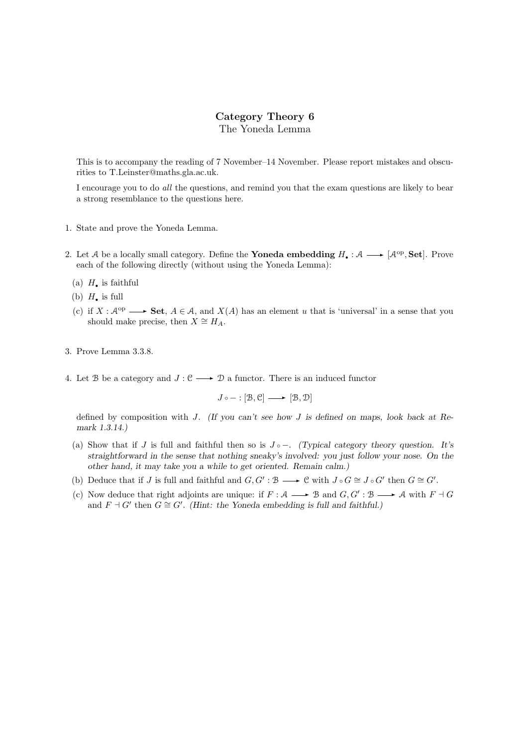## Category Theory 6 The Yoneda Lemma

This is to accompany the reading of 7 November–14 November. Please report mistakes and obscurities to T.Leinster@maths.gla.ac.uk.

I encourage you to do all the questions, and remind you that the exam questions are likely to bear a strong resemblance to the questions here.

- 1. State and prove the Yoneda Lemma.
- 2. Let A be a locally small category. Define the **Yoneda embedding**  $H_{\bullet}: A \longrightarrow [A^{\text{op}}, \text{Set}]$ . Prove each of the following directly (without using the Yoneda Lemma):
	- (a)  $H_{\bullet}$  is faithful
	- (b)  $H_{\bullet}$  is full
	- (c) if  $X : \mathcal{A}^{\mathrm{op}} \longrightarrow \mathbf{Set}, A \in \mathcal{A}$ , and  $X(A)$  has an element u that is 'universal' in a sense that you should make precise, then  $X \cong H_A$ .
- 3. Prove Lemma 3.3.8.
- 4. Let B be a category and  $J: \mathcal{C} \longrightarrow \mathcal{D}$  a functor. There is an induced functor

 $J \circ - : [\mathcal{B}, \mathcal{C}] \longrightarrow [\mathcal{B}, \mathcal{D}]$ 

defined by composition with J. (If you can't see how J is defined on maps, look back at Remark 1.3.14.)

- (a) Show that if J is full and faithful then so is  $J \circ -$ . (Typical category theory question. It's straightforward in the sense that nothing sneaky's involved: you just follow your nose. On the other hand, it may take you a while to get oriented. Remain calm.)
- (b) Deduce that if J is full and faithful and  $G, G' : \mathcal{B} \longrightarrow \mathcal{C}$  with  $J \circ G \cong J \circ G'$  then  $G \cong G'$ .
- (c) Now deduce that right adjoints are unique: if  $F : A \longrightarrow B$  and  $G, G' : B \longrightarrow A$  with  $F \dashv G$ and  $F \dashv G'$  then  $G \cong G'$ . (Hint: the Yoneda embedding is full and faithful.)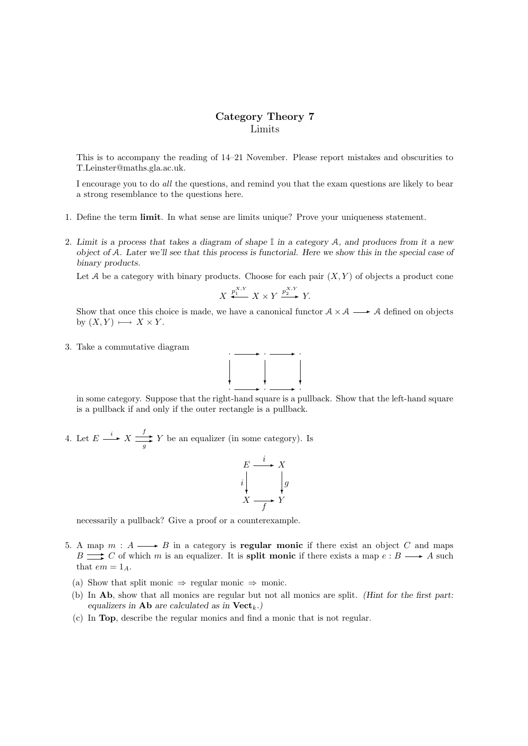## Category Theory 7 Limits

This is to accompany the reading of 14–21 November. Please report mistakes and obscurities to T.Leinster@maths.gla.ac.uk.

I encourage you to do all the questions, and remind you that the exam questions are likely to bear a strong resemblance to the questions here.

- 1. Define the term limit. In what sense are limits unique? Prove your uniqueness statement.
- 2. Limit is a process that takes a diagram of shape  $\mathbb I$  in a category A, and produces from it a new object of A. Later we'll see that this process is functorial. Here we show this in the special case of binary products.

Let A be a category with binary products. Choose for each pair  $(X, Y)$  of objects a product cone

$$
X \xleftrightarrow{p_1^{X,Y}} X \times Y \xrightarrow{p_2^{X,Y}} Y.
$$

Show that once this choice is made, we have a canonical functor  $A \times A \longrightarrow A$  defined on objects by  $(X, Y) \longmapsto X \times Y$ .

3. Take a commutative diagram



in some category. Suppose that the right-hand square is a pullback. Show that the left-hand square is a pullback if and only if the outer rectangle is a pullback.

4. Let  $E \xrightarrow{i} X \xrightarrow{f}$  $\frac{f}{g} Y$  be an equalizer (in some category). Is

$$
E \xrightarrow{i} X
$$
\n
$$
i \downarrow g
$$
\n
$$
X \xrightarrow{f} Y
$$

necessarily a pullback? Give a proof or a counterexample.

- 5. A map  $m : A \longrightarrow B$  in a category is **regular monic** if there exist an object C and maps  $B \longrightarrow C$  of which m is an equalizer. It is **split monic** if there exists a map  $e : B \longrightarrow A$  such that  $em = 1_A$ .
	- (a) Show that split monic  $\Rightarrow$  regular monic  $\Rightarrow$  monic.
	- (b) In Ab, show that all monics are regular but not all monics are split. (Hint for the first part: equalizers in **Ab** are calculated as in  $Vect_k$ .)
	- (c) In Top, describe the regular monics and find a monic that is not regular.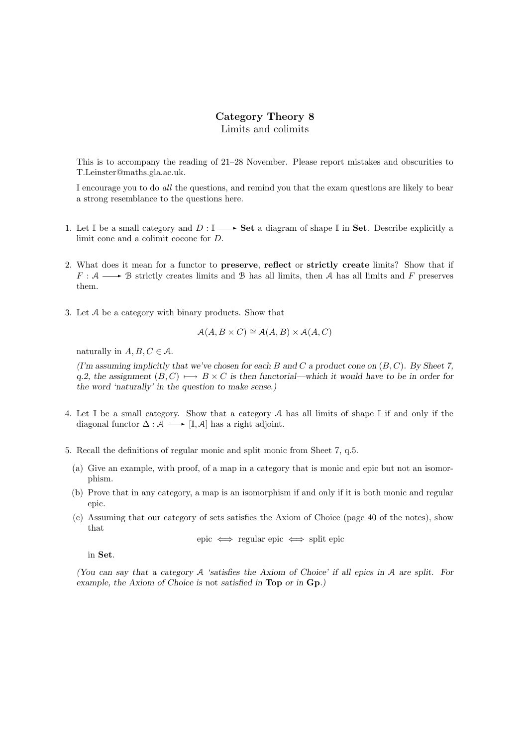### Category Theory 8 Limits and colimits

This is to accompany the reading of 21–28 November. Please report mistakes and obscurities to T.Leinster@maths.gla.ac.uk.

I encourage you to do all the questions, and remind you that the exam questions are likely to bear a strong resemblance to the questions here.

- 1. Let  $\mathbb I$  be a small category and  $D: \mathbb I \longrightarrow$  **Set** a diagram of shape  $\mathbb I$  in **Set**. Describe explicitly a limit cone and a colimit cocone for D.
- 2. What does it mean for a functor to preserve, reflect or strictly create limits? Show that if  $F : A \longrightarrow B$  strictly creates limits and B has all limits, then A has all limits and F preserves them.
- 3. Let A be a category with binary products. Show that

$$
\mathcal{A}(A, B \times C) \cong \mathcal{A}(A, B) \times \mathcal{A}(A, C)
$$

naturally in  $A, B, C \in \mathcal{A}$ .

(I'm assuming implicitly that we've chosen for each B and C a product cone on  $(B, C)$ ). By Sheet 7, q.2, the assignment  $(B, C) \longrightarrow B \times C$  is then functorial—which it would have to be in order for the word 'naturally' in the question to make sense.)

- 4. Let  $\mathbb I$  be a small category. Show that a category A has all limits of shape  $\mathbb I$  if and only if the diagonal functor  $\Delta : \mathcal{A} \longrightarrow [\mathbb{I}, \mathcal{A}]$  has a right adjoint.
- 5. Recall the definitions of regular monic and split monic from Sheet 7, q.5.
	- (a) Give an example, with proof, of a map in a category that is monic and epic but not an isomorphism.
	- (b) Prove that in any category, a map is an isomorphism if and only if it is both monic and regular epic.
	- (c) Assuming that our category of sets satisfies the Axiom of Choice (page 40 of the notes), show that

epic 
$$
\iff
$$
 regular epic  $\iff$  split epic

in Set.

(You can say that a category A 'satisfies the Axiom of Choice' if all epics in A are split. For example, the Axiom of Choice is not satisfied in Top or in Gp.)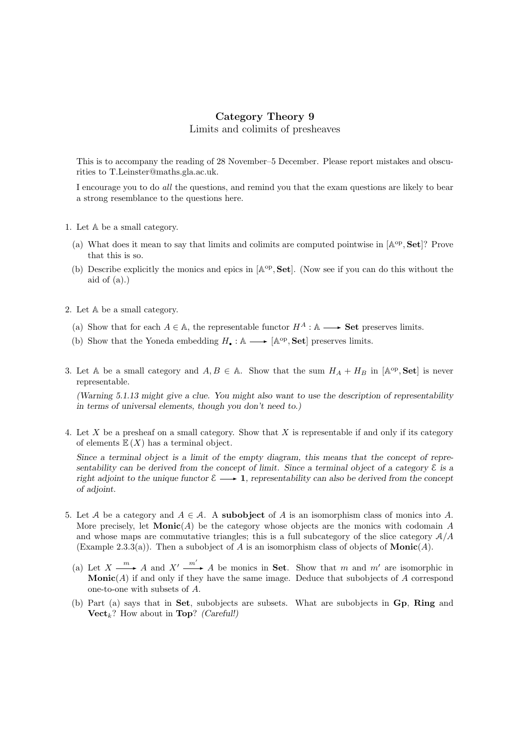## Category Theory 9 Limits and colimits of presheaves

This is to accompany the reading of 28 November–5 December. Please report mistakes and obscurities to T.Leinster@maths.gla.ac.uk.

I encourage you to do all the questions, and remind you that the exam questions are likely to bear a strong resemblance to the questions here.

- 1. Let A be a small category.
	- (a) What does it mean to say that limits and colimits are computed pointwise in  $[A^{\rm op}, \textbf{Set}]$ ? Prove that this is so.
	- (b) Describe explicitly the monics and epics in  $[A^{\rm op}, \textbf{Set}]$ . (Now see if you can do this without the aid of  $(a)$ .)
- 2. Let A be a small category.
	- (a) Show that for each  $A \in \mathbb{A}$ , the representable functor  $H^A : \mathbb{A} \longrightarrow$  **Set** preserves limits.
- (b) Show that the Yoneda embedding  $H_{\bullet} : \mathbb{A} \longrightarrow [\mathbb{A}^{\text{op}}, \mathbf{Set}]$  preserves limits.
- 3. Let A be a small category and  $A, B \in A$ . Show that the sum  $H_A + H_B$  in  $[A^{\text{op}}, \text{Set}]$  is never representable.

(Warning 5.1.13 might give a clue. You might also want to use the description of representability in terms of universal elements, though you don't need to.)

4. Let X be a presheaf on a small category. Show that X is representable if and only if its category of elements  $\mathbb{E}(X)$  has a terminal object.

Since a terminal object is a limit of the empty diagram, this means that the concept of representability can be derived from the concept of limit. Since a terminal object of a category E is a right adjoint to the unique functor  $\mathcal{E} \longrightarrow 1$ , representability can also be derived from the concept of adjoint.

- 5. Let A be a category and  $A \in \mathcal{A}$ . A subobject of A is an isomorphism class of monics into A. More precisely, let  $\mathbf{Monic}(A)$  be the category whose objects are the monics with codomain A and whose maps are commutative triangles; this is a full subcategory of the slice category  $A/A$ (Example 2.3.3(a)). Then a subobject of A is an isomorphism class of objects of  $\text{Monic}(A)$ .
	- (a) Let  $X \xrightarrow{m} A$  and  $X' \xrightarrow{m'} A$  be monics in **Set**. Show that m and m' are isomorphic in **Monic** $(A)$  if and only if they have the same image. Deduce that subobjects of A correspond one-to-one with subsets of A.
	- (b) Part (a) says that in Set, subobjects are subsets. What are subobjects in Gp, Ring and  $\mathbf{Vect}_k$ ? How about in Top? (Careful!)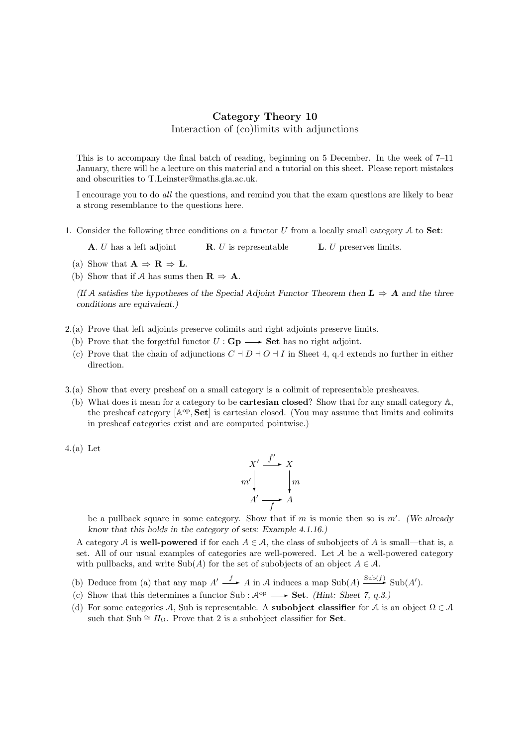## Category Theory 10 Interaction of (co)limits with adjunctions

This is to accompany the final batch of reading, beginning on 5 December. In the week of 7–11 January, there will be a lecture on this material and a tutorial on this sheet. Please report mistakes and obscurities to T.Leinster@maths.gla.ac.uk.

I encourage you to do all the questions, and remind you that the exam questions are likely to bear a strong resemblance to the questions here.

1. Consider the following three conditions on a functor U from a locally small category  $A$  to **Set**:

**A.**  $U$  has a left adjoint **R.**  $U$  is representable **L.**  $U$  preserves limits.

- (a) Show that  $\mathbf{A} \Rightarrow \mathbf{R} \Rightarrow \mathbf{L}$ .
- (b) Show that if A has sums then  $\mathbf{R} \Rightarrow \mathbf{A}$ .

(If A satisfies the hypotheses of the Special Adjoint Functor Theorem then  $L \Rightarrow A$  and the three conditions are equivalent.)

- 2.(a) Prove that left adjoints preserve colimits and right adjoints preserve limits.
	- (b) Prove that the forgetful functor  $U : \mathbf{Gp} \longrightarrow \mathbf{Set}$  has no right adjoint.
	- (c) Prove that the chain of adjunctions  $C \dashv D \dashv O \dashv I$  in Sheet 4, q.4 extends no further in either direction.
- 3.(a) Show that every presheaf on a small category is a colimit of representable presheaves.
- (b) What does it mean for a category to be cartesian closed? Show that for any small category A, the presheaf category  $[A^{op}, Set]$  is cartesian closed. (You may assume that limits and colimits in presheaf categories exist and are computed pointwise.)

4.(a) Let

$$
X' \xrightarrow{f'} X
$$
  

$$
m' \downarrow \qquad \qquad \downarrow m
$$
  

$$
A' \xrightarrow{f'} A
$$

be a pullback square in some category. Show that if  $m$  is monic then so is  $m'$ . (We already know that this holds in the category of sets: Example 4.1.16.)

A category A is **well-powered** if for each  $A \in \mathcal{A}$ , the class of subobjects of A is small—that is, a set. All of our usual examples of categories are well-powered. Let A be a well-powered category with pullbacks, and write Sub(A) for the set of subobjects of an object  $A \in \mathcal{A}$ .

- (b) Deduce from (a) that any map  $A' \xrightarrow{f} A$  in A induces a map  $\text{Sub}(A) \xrightarrow{\text{Sub}(f)} \text{Sub}(A')$ .
- (c) Show that this determines a functor Sub :  $\mathcal{A}^{op} \longrightarrow$  Set. *(Hint: Sheet 7, q.3.)*
- (d) For some categories A, Sub is representable. A **subobject classifier** for A is an object  $\Omega \in \mathcal{A}$ such that Sub  $\cong H_{\Omega}$ . Prove that 2 is a subobject classifier for **Set**.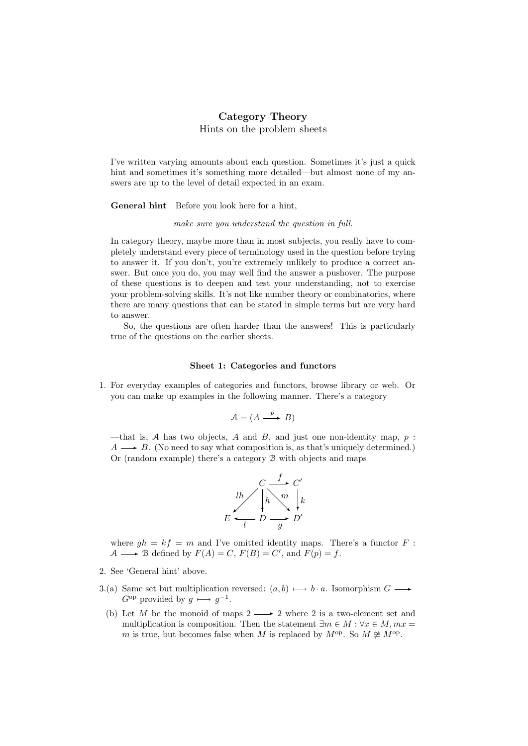## Category Theory Hints on the problem sheets

I've written varying amounts about each question. Sometimes it's just a quick hint and sometimes it's something more detailed—but almost none of my answers are up to the level of detail expected in an exam.

General hint Before you look here for a hint,

#### make sure you understand the question in full.

In category theory, maybe more than in most subjects, you really have to completely understand every piece of terminology used in the question before trying to answer it. If you don't, you're extremely unlikely to produce a correct answer. But once you do, you may well find the answer a pushover. The purpose of these questions is to deepen and test your understanding, not to exercise your problem-solving skills. It's not like number theory or combinatorics, where there are many questions that can be stated in simple terms but are very hard to answer.

So, the questions are often harder than the answers! This is particularly true of the questions on the earlier sheets.

#### Sheet 1: Categories and functors

1. For everyday examples of categories and functors, browse library or web. Or you can make up examples in the following manner. There's a category

$$
\mathcal{A} = (A \xrightarrow{p} B)
$$

—that is, A has two objects, A and B, and just one non-identity map,  $p$ :  $A \longrightarrow B$ . (No need to say what composition is, as that's uniquely determined.) Or (random example) there's a category B with objects and maps



where  $gh = kf = m$  and I've omitted identity maps. There's a functor F: A  $\longrightarrow$  B defined by  $F(A) = C$ ,  $F(B) = C'$ , and  $F(p) = f$ .

- 2. See 'General hint' above.
- 3.(a) Same set but multiplication reversed:  $(a, b) \longmapsto b \cdot a$ . Isomorphism  $G \longrightarrow$  $G^{\rm op}$  provided by  $g \longmapsto g^{-1}$ .
- (b) Let M be the monoid of maps  $2 \longrightarrow 2$  where 2 is a two-element set and multiplication is composition. Then the statement  $\exists m \in M : \forall x \in M, mx =$ m is true, but becomes false when M is replaced by  $M^{\text{op}}$ . So  $M \not\cong M^{\text{op}}$ .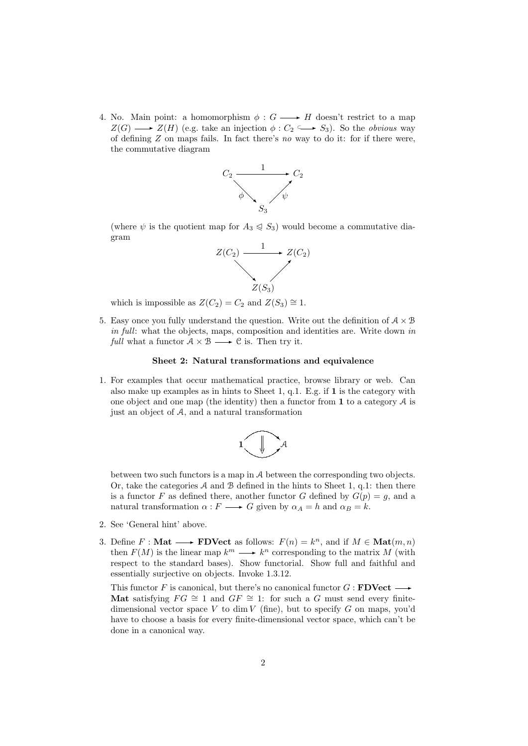4. No. Main point: a homomorphism  $\phi: G \longrightarrow H$  doesn't restrict to a map  $Z(G) \longrightarrow Z(H)$  (e.g. take an injection  $\phi : C_2 \longrightarrow S_3$ ). So the *obvious* way of defining Z on maps fails. In fact there's no way to do it: for if there were, the commutative diagram



(where  $\psi$  is the quotient map for  $A_3 \leqslant S_3$ ) would become a commutative diagram



which is impossible as  $Z(C_2) = C_2$  and  $Z(S_3) \cong 1$ .

5. Easy once you fully understand the question. Write out the definition of  $A \times B$ in full: what the objects, maps, composition and identities are. Write down in full what a functor  $A \times B \longrightarrow C$  is. Then try it.

### Sheet 2: Natural transformations and equivalence

1. For examples that occur mathematical practice, browse library or web. Can also make up examples as in hints to Sheet 1, q.1. E.g. if 1 is the category with one object and one map (the identity) then a functor from  $\bf{1}$  to a category  $\mathcal A$  is just an object of A, and a natural transformation



between two such functors is a map in A between the corresponding two objects. Or, take the categories  $A$  and  $B$  defined in the hints to Sheet 1, q.1: then there is a functor F as defined there, another functor G defined by  $G(p) = g$ , and a natural transformation  $\alpha : F \longrightarrow G$  given by  $\alpha_A = h$  and  $\alpha_B = k$ .

- 2. See 'General hint' above.
- 3. Define  $F : \mathbf{Mat} \longrightarrow \mathbf{FDVect}$  as follows:  $F(n) = k^n$ , and if  $M \in \mathbf{Mat}(m, n)$ then  $F(M)$  is the linear map  $k^m \longrightarrow k^n$  corresponding to the matrix M (with respect to the standard bases). Show functorial. Show full and faithful and essentially surjective on objects. Invoke 1.3.12.

This functor F is canonical, but there's no canonical functor  $G : \textbf{FDVect} \rightarrow$ Mat satisfying  $FG \cong 1$  and  $GF \cong 1$ : for such a G must send every finitedimensional vector space V to dim V (fine), but to specify G on maps, you'd have to choose a basis for every finite-dimensional vector space, which can't be done in a canonical way.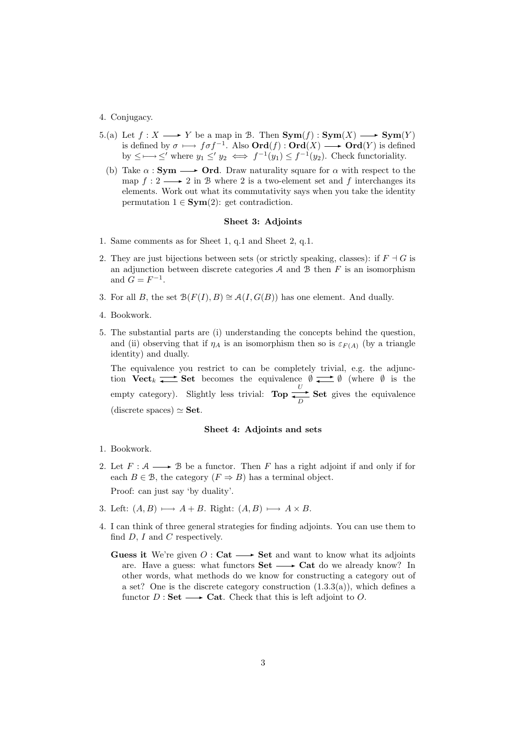### 4. Conjugacy.

- 5.(a) Let  $f: X \longrightarrow Y$  be a map in B. Then  $\text{Sym}(f): \text{Sym}(X) \longrightarrow \text{Sym}(Y)$ is defined by  $\sigma \longmapsto f \sigma f^{-1}$ . Also  $\text{Ord}(f) : \text{Ord}(X) \longrightarrow \text{Ord}(Y)$  is defined by  $\leq \longrightarrow \leq'$  where  $y_1 \leq' y_2 \iff f^{-1}(y_1) \leq f^{-1}(y_2)$ . Check functoriality.
	- (b) Take  $\alpha : \mathbf{Sym} \longrightarrow \mathbf{Ord}$ . Draw naturality square for  $\alpha$  with respect to the map  $f: 2 \longrightarrow 2$  in B where 2 is a two-element set and f interchanges its elements. Work out what its commutativity says when you take the identity permutation  $1 \in \text{Sym}(2)$ : get contradiction.

### Sheet 3: Adjoints

- 1. Same comments as for Sheet 1, q.1 and Sheet 2, q.1.
- 2. They are just bijections between sets (or strictly speaking, classes): if  $F \dashv G$  is an adjunction between discrete categories  $A$  and  $B$  then  $F$  is an isomorphism and  $G = F^{-1}$ .
- 3. For all B, the set  $\mathcal{B}(F(I), B) \cong \mathcal{A}(I, G(B))$  has one element. And dually.
- 4. Bookwork.
- 5. The substantial parts are (i) understanding the concepts behind the question, and (ii) observing that if  $\eta_A$  is an isomorphism then so is  $\varepsilon_{F(A)}$  (by a triangle identity) and dually.

The equivalence you restrict to can be completely trivial, e.g. the adjunction  $Vect_k \longrightarrow \mathbf{Set}$  becomes the equivalence  $\emptyset \longrightarrow \emptyset$  (where  $\emptyset$  is the empty category). Slightly less trivial: Top  $\overline{\longrightarrow}$  $\Rightarrow$  Set gives the equivalence (discrete spaces)  $\simeq$  Set.

#### Sheet 4: Adjoints and sets

- 1. Bookwork.
- 2. Let  $F: \mathcal{A} \longrightarrow \mathcal{B}$  be a functor. Then F has a right adjoint if and only if for each  $B \in \mathcal{B}$ , the category  $(F \Rightarrow B)$  has a terminal object.

Proof: can just say 'by duality'.

- 3. Left:  $(A, B) \longmapsto A + B$ . Right:  $(A, B) \longmapsto A \times B$ .
- 4. I can think of three general strategies for finding adjoints. You can use them to find  $D$ ,  $I$  and  $C$  respectively.
	- **Guess it** We're given  $O:$  Cat  $\longrightarrow$  Set and want to know what its adjoints are. Have a guess: what functors  $\textbf{Set} \longrightarrow \textbf{Cat}$  do we already know? In other words, what methods do we know for constructing a category out of a set? One is the discrete category construction (1.3.3(a)), which defines a functor  $D : Set \longrightarrow$  Cat. Check that this is left adjoint to O.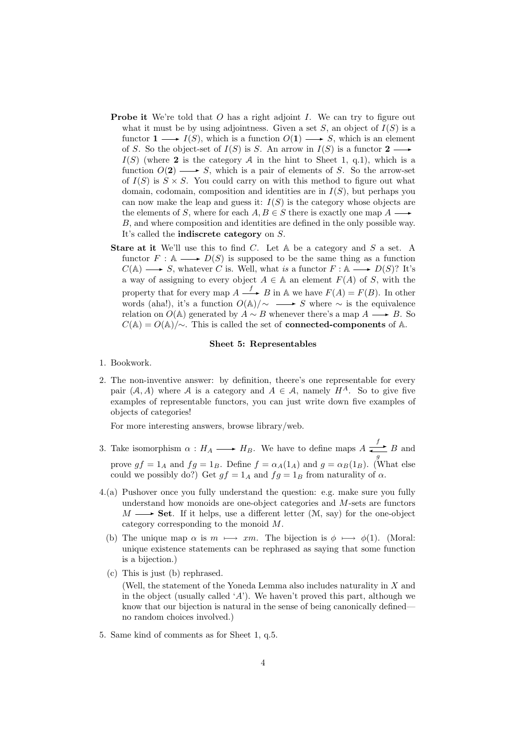- **Probe it** We're told that O has a right adjoint I. We can try to figure out what it must be by using adjointness. Given a set  $S$ , an object of  $I(S)$  is a functor  $1 \longrightarrow I(S)$ , which is a function  $O(1) \longrightarrow S$ , which is an element of S. So the object-set of  $I(S)$  is S. An arrow in  $I(S)$  is a functor  $2 \longrightarrow$  $I(S)$  (where 2 is the category A in the hint to Sheet 1, q.1), which is a function  $O(2) \longrightarrow S$ , which is a pair of elements of S. So the arrow-set of  $I(S)$  is  $S \times S$ . You could carry on with this method to figure out what domain, codomain, composition and identities are in  $I(S)$ , but perhaps you can now make the leap and guess it:  $I(S)$  is the category whose objects are the elements of S, where for each  $A, B \in S$  there is exactly one map  $A \longrightarrow$ B, and where composition and identities are defined in the only possible way. It's called the indiscrete category on S.
- **Stare at it** We'll use this to find C. Let  $A$  be a category and  $S$  a set. A functor  $F : A \longrightarrow D(S)$  is supposed to be the same thing as a function  $C(\mathbb{A}) \longrightarrow S$ , whatever C is. Well, what is a functor  $F : \mathbb{A} \longrightarrow D(S)$ ? It's a way of assigning to every object  $A \in A$  an element  $F(A)$  of S, with the property that for every map  $A \xrightarrow{f} B$  in A we have  $F(A) = F(B)$ . In other words (aha!), it's a function  $O(A)/\sim$  → S where ∼ is the equivalence relation on  $O(A)$  generated by  $A \sim B$  whenever there's a map  $A \longrightarrow B$ . So  $C(A) = O(A)/\sim$ . This is called the set of **connected-components** of A.

### Sheet 5: Representables

- 1. Bookwork.
- 2. The non-inventive answer: by definition, theere's one representable for every pair  $(A, A)$  where A is a category and  $A \in \mathcal{A}$ , namely  $H^A$ . So to give five examples of representable functors, you can just write down five examples of objects of categories!

For more interesting answers, browse library/web.

- 3. Take isomorphism  $\alpha : H_A \longrightarrow H_B$ . We have to define maps  $A \xrightarrow{f} B$  and prove  $gf = 1_A$  and  $fg = 1_B$ . Define  $f = \alpha_A(1_A)$  and  $g = \alpha_B(1_B)$ . (What else could we possibly do?) Get  $gf = 1_A$  and  $fg = 1_B$  from naturality of  $\alpha$ .
- 4.(a) Pushover once you fully understand the question: e.g. make sure you fully understand how monoids are one-object categories and M-sets are functors  $M \longrightarrow$  Set. If it helps, use a different letter  $(\mathcal{M}, \text{say})$  for the one-object category corresponding to the monoid M.
	- (b) The unique map  $\alpha$  is  $m \mapsto xm$ . The bijection is  $\phi \mapsto \phi(1)$ . (Moral: unique existence statements can be rephrased as saying that some function is a bijection.)
	- (c) This is just (b) rephrased. (Well, the statement of the Yoneda Lemma also includes naturality in X and in the object (usually called 'A'). We haven't proved this part, although we know that our bijection is natural in the sense of being canonically defined no random choices involved.)
- 5. Same kind of comments as for Sheet 1, q.5.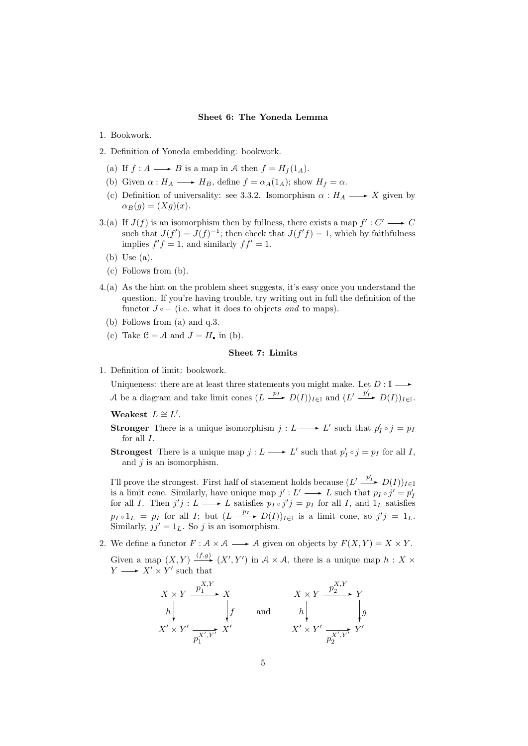#### Sheet 6: The Yoneda Lemma

- 1. Bookwork.
- 2. Definition of Yoneda embedding: bookwork.
	- (a) If  $f : A \longrightarrow B$  is a map in A then  $f = H<sub>f</sub>(1<sub>A</sub>)$ .
	- (b) Given  $\alpha: H_A \longrightarrow H_B$ , define  $f = \alpha_A(1_A)$ ; show  $H_f = \alpha$ .
	- (c) Definition of universality: see 3.3.2. Isomorphism  $\alpha : H_A \longrightarrow X$  given by  $\alpha_B(g) = (Xg)(x).$
- 3.(a) If  $J(f)$  is an isomorphism then by fullness, there exists a map  $f': C' \longrightarrow C$ such that  $J(f') = J(f)^{-1}$ ; then check that  $J(f'f) = 1$ , which by faithfulness implies  $f'f = 1$ , and similarly  $ff' = 1$ .
	- (b) Use (a).
	- (c) Follows from (b).
- 4.(a) As the hint on the problem sheet suggests, it's easy once you understand the question. If you're having trouble, try writing out in full the definition of the functor  $J \circ -$  (i.e. what it does to objects and to maps).
	- (b) Follows from (a) and q.3.
	- (c) Take  $\mathcal{C} = \mathcal{A}$  and  $J = H$ , in (b).

### Sheet 7: Limits

1. Definition of limit: bookwork.

Uniqueness: there are at least three statements you might make. Let  $D: \mathbb{I} \longrightarrow$ A be a diagram and take limit cones  $(L \xrightarrow{p_I} D(I))_{I \in \mathbb{I}}$  and  $(L' \xrightarrow{p'_I} D(I))_{I \in \mathbb{I}}$ .

Weakest  $L \cong L'$ .

**Stronger** There is a unique isomorphism  $j: L \longrightarrow L'$  such that  $p'_I \circ j = p_I$ for all  $I$ .

**Strongest** There is a unique map  $j: L \longrightarrow L'$  such that  $p'_I \circ j = p_I$  for all I, and  $j$  is an isomorphism.

I'll prove the strongest. First half of statement holds because  $(L' \xrightarrow{p'_I} D(I))_{I \in \mathbb{I}}$ is a limit cone. Similarly, have unique map  $j': L' \longrightarrow L$  such that  $p_I \circ j' = p_I'$ for all I. Then  $j'j : L \longrightarrow L$  satisfies  $p_I \circ j'j = p_I$  for all I, and  $1_L$  satisfies  $p_I \circ 1_L = p_I$  for all I; but  $(L \xrightarrow{p_I} D(I))_{I \in \mathbb{I}}$  is a limit cone, so  $j'j = 1_L$ . Similarly,  $jj' = 1_L$ . So j is an isomorphism.

2. We define a functor  $F : A \times A \longrightarrow A$  given on objects by  $F(X, Y) = X \times Y$ . Given a map  $(X, Y) \xrightarrow{(f,g)} (X', Y')$  in  $A \times A$ , there is a unique map  $h : X \times Y \longrightarrow X' \times Y'$  such that

$$
\begin{array}{ccc}\nX \times Y & \xrightarrow{p_1^{X,Y}} & X & X \times Y & \xrightarrow{p_2^{X,Y}} & Y \\
h & f & \text{and} & h & g \\
X' \times Y' & \xrightarrow{p_1^{X',Y'}} & X' & X' \times Y' & \xrightarrow{p_2^{X',Y'}} & Y'\n\end{array}
$$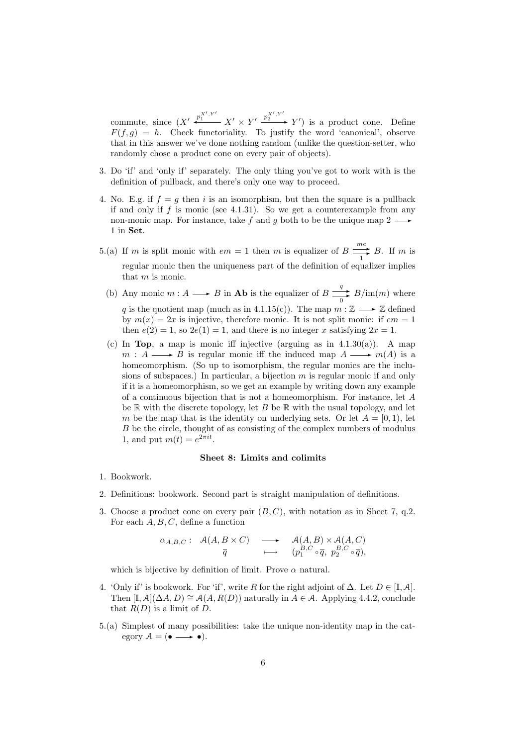commute, since  $(X' \xrightarrow{p_1^{X',Y'}} X' \times Y' \xrightarrow{p_2^{X',Y'}} Y')$  is a product cone. Define  $F(f, g) = h$ . Check functoriality. To justify the word 'canonical', observe that in this answer we've done nothing random (unlike the question-setter, who randomly chose a product cone on every pair of objects).

- 3. Do 'if' and 'only if' separately. The only thing you've got to work with is the definition of pullback, and there's only one way to proceed.
- 4. No. E.g. if  $f = g$  then i is an isomorphism, but then the square is a pullback if and only if f is monic (see 4.1.31). So we get a counterexample from any non-monic map. For instance, take f and g both to be the unique map  $2 \longrightarrow$ 1 in Set.
- 5.(a) If m is split monic with  $em = 1$  then m is equalizer of  $B \longrightarrow^{\text{me}}$  $\frac{1}{1}$  B. If m is regular monic then the uniqueness part of the definition of equalizer implies that m is monic.
	- (b) Any monic  $m : A \longrightarrow B$  in **Ab** is the equalizer of  $B \longrightarrow$  $\frac{q}{0}$  B/im(*m*) where q is the quotient map (much as in 4.1.15(c)). The map  $m : \mathbb{Z} \longrightarrow \mathbb{Z}$  defined by  $m(x) = 2x$  is injective, therefore monic. It is not split monic: if  $em = 1$ then  $e(2) = 1$ , so  $2e(1) = 1$ , and there is no integer x satisfying  $2x = 1$ .
	- (c) In **Top**, a map is monic iff injective (arguing as in  $4.1.30(a)$ ). A map  $m : A \longrightarrow B$  is regular monic iff the induced map  $A \longrightarrow m(A)$  is a homeomorphism. (So up to isomorphism, the regular monics are the inclusions of subspaces.) In particular, a bijection  $m$  is regular monic if and only if it is a homeomorphism, so we get an example by writing down any example of a continuous bijection that is not a homeomorphism. For instance, let A be  $\mathbb R$  with the discrete topology, let B be  $\mathbb R$  with the usual topology, and let m be the map that is the identity on underlying sets. Or let  $A = [0, 1)$ , let B be the circle, thought of as consisting of the complex numbers of modulus 1, and put  $m(t) = e^{2\pi i t}$ .

### Sheet 8: Limits and colimits

- 1. Bookwork.
- 2. Definitions: bookwork. Second part is straight manipulation of definitions.
- 3. Choose a product cone on every pair  $(B, C)$ , with notation as in Sheet 7, q.2. For each  $A, B, C$ , define a function

$$
\alpha_{A,B,C}: \mathcal{A}(A,B \times C) \longrightarrow \mathcal{A}(A,B) \times \mathcal{A}(A,C) \overline{q} \longmapsto (p_1^{B,C} \circ \overline{q}, p_2^{B,C} \circ \overline{q}),
$$

which is bijective by definition of limit. Prove  $\alpha$  natural.

- 4. 'Only if' is bookwork. For 'if', write R for the right adjoint of  $\Delta$ . Let  $D \in [\mathbb{I}, \mathcal{A}]$ . Then  $[I, \mathcal{A}](\Delta A, D) \cong \mathcal{A}(A, R(D))$  naturally in  $A \in \mathcal{A}$ . Applying 4.4.2, conclude that  $R(D)$  is a limit of D.
- 5.(a) Simplest of many possibilities: take the unique non-identity map in the category  $A = (\bullet \longrightarrow \bullet).$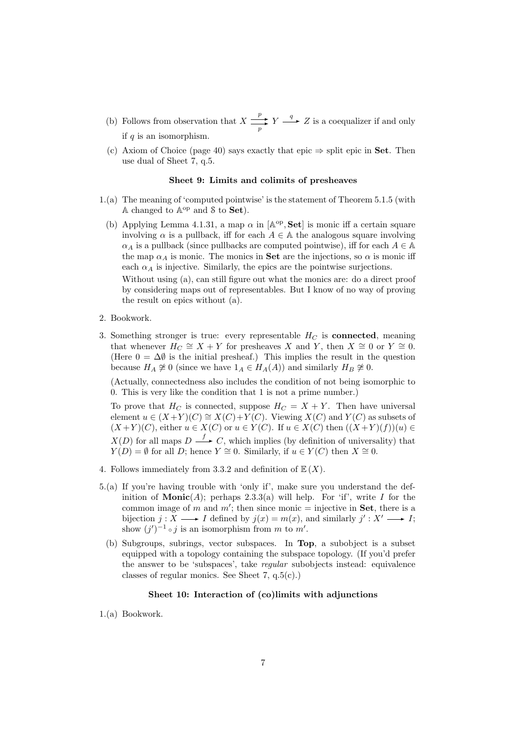- (b) Follows from observation that  $X \stackrel{p}{\longrightarrow}$  $\frac{p}{p}$   $Y \xrightarrow{q} Z$  is a coequalizer if and only if  $q$  is an isomorphism.
- (c) Axiom of Choice (page 40) says exactly that epic  $\Rightarrow$  split epic in Set. Then use dual of Sheet 7, q.5.

### Sheet 9: Limits and colimits of presheaves

- 1.(a) The meaning of 'computed pointwise' is the statement of Theorem 5.1.5 (with  $A$  changed to  $A^{op}$  and  $S$  to  $Set$ ).
	- (b) Applying Lemma 4.1.31, a map  $\alpha$  in  $[A^{\rm op}, \textbf{Set}]$  is monic iff a certain square involving  $\alpha$  is a pullback, iff for each  $A \in \mathbb{A}$  the analogous square involving  $\alpha_A$  is a pullback (since pullbacks are computed pointwise), iff for each  $A \in \mathbb{A}$ the map  $\alpha_A$  is monic. The monics in **Set** are the injections, so  $\alpha$  is monic iff each  $\alpha_A$  is injective. Similarly, the epics are the pointwise surjections.

Without using (a), can still figure out what the monics are: do a direct proof by considering maps out of representables. But I know of no way of proving the result on epics without (a).

- 2. Bookwork.
- 3. Something stronger is true: every representable  $H_C$  is **connected**, meaning that whenever  $H_C \cong X + Y$  for presheaves X and Y, then  $X \cong 0$  or  $Y \cong 0$ . (Here  $0 = \Delta \emptyset$  is the initial presheaf.) This implies the result in the question because  $H_A \not\cong 0$  (since we have  $1_A \in H_A(A)$ ) and similarly  $H_B \not\cong 0$ .

(Actually, connectedness also includes the condition of not being isomorphic to 0. This is very like the condition that 1 is not a prime number.)

To prove that  $H_C$  is connected, suppose  $H_C = X + Y$ . Then have universal element  $u \in (X+Y)(C) \cong X(C)+Y(C)$ . Viewing  $X(C)$  and  $Y(C)$  as subsets of  $(X+Y)(C)$ , either  $u \in X(C)$  or  $u \in Y(C)$ . If  $u \in X(C)$  then  $((X+Y)(f))(u) \in$  $X(D)$  for all maps  $D \longrightarrow C$ , which implies (by definition of universality) that  $Y(D) = \emptyset$  for all D; hence  $Y \cong 0$ . Similarly, if  $u \in Y(C)$  then  $X \cong 0$ .

- 4. Follows immediately from 3.3.2 and definition of  $\mathbb{E}(X)$ .
- 5.(a) If you're having trouble with 'only if', make sure you understand the definition of **Monic**(A); perhaps 2.3.3(a) will help. For 'if', write I for the common image of m and  $m'$ ; then since monic = injective in **Set**, there is a bijection  $j: X \longrightarrow I$  defined by  $j(x) = m(x)$ , and similarly  $j' : X' \longrightarrow I$ ; show  $(j')^{-1} \circ j$  is an isomorphism from m to m'.
	- (b) Subgroups, subrings, vector subspaces. In Top, a subobject is a subset equipped with a topology containing the subspace topology. (If you'd prefer the answer to be 'subspaces', take regular subobjects instead: equivalence classes of regular monics. See Sheet 7, q.5(c).)

### Sheet 10: Interaction of (co)limits with adjunctions

1.(a) Bookwork.